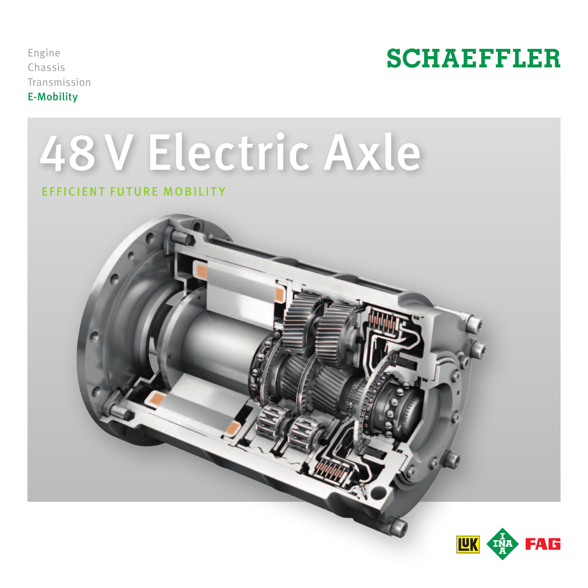Engine Chassis Transmission E-Mobility



# 48 V Electric Axle

# Efficient Future Mobility